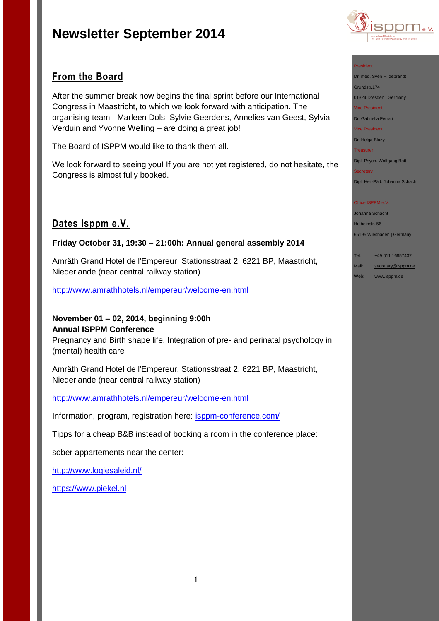

# **From the Board**

After the summer break now begins the final sprint before our International Congress in Maastricht, to which we look forward with anticipation. The organising team - Marleen Dols, Sylvie Geerdens, Annelies van Geest, Sylvia Verduin and Yvonne Welling – are doing a great job!

The Board of ISPPM would like to thank them all.

We look forward to seeing you! If you are not yet registered, do not hesitate, the Congress is almost fully booked.

# **Dates isppm e.V.**

## **Friday October 31, 19:30 – 21:00h: Annual general assembly 2014**

Amrâth Grand Hotel de l'Empereur, Stationsstraat 2, 6221 BP, Maastricht, Niederlande (near central railway station)

<http://www.amrathhotels.nl/empereur/welcome-en.html>

## **November 01 – 02, 2014, beginning 9:00h Annual ISPPM Conference**

Pregnancy and Birth shape life. Integration of pre- and perinatal psychology in (mental) health care

Amrâth Grand Hotel de l'Empereur, Stationsstraat 2, 6221 BP, Maastricht, Niederlande (near central railway station)

### <http://www.amrathhotels.nl/empereur/welcome-en.html>

Information, program, registration here: [isppm-conference.com/](http://isppm-conference.com/)

Tipps for a cheap B&B instead of booking a room in the conference place:

sober appartements near the center:

<http://www.logiesaleid.nl/>

[https://www.piekel.nl](https://www.piekel.nl/)

### President

Dr. med. Sven Hildebrandt Grundstr.174 01324 Dresden | Germany Vice President

Dr. Gabriella Ferrari

Vice President

Dr. Helga Blazy

**Treasurer** 

Dipl. Psych. Wolfgang Bott

**Secretary** Dipl. Heil-Päd. Johanna Schacht

### Office ISPPM e.V.

Johanna Schacht

Holbeinstr. 56

65195 Wiesbaden | Germany

| Tel: | +49 611 16857437 |
|------|------------------|

Mail: [secretary@isppm.de](mailto:secretary@isppm.de)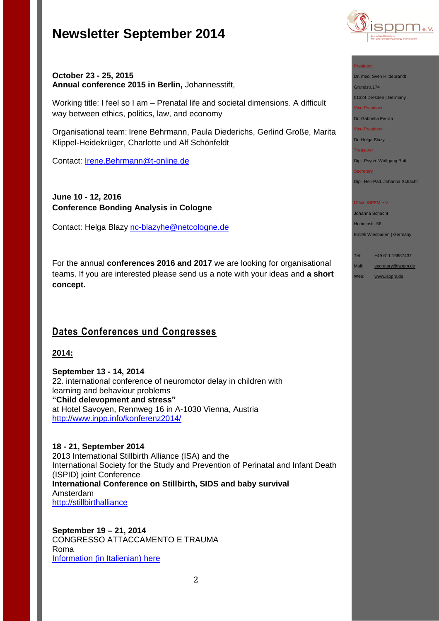

## **October 23 - 25, 2015 Annual conference 2015 in Berlin,** Johannesstift,

Working title: I feel so I am – Prenatal life and societal dimensions. A difficult way between ethics, politics, law, and economy

Organisational team: Irene Behrmann, Paula Diederichs, Gerlind Große, Marita Klippel-Heidekrüger, Charlotte und Alf Schönfeldt

Contact: [Irene.Behrmann@t-online.de](file:///C:/Users/hanna/Desktop/Irene.Behrmann@t-online.de)

# **June 10 - 12, 2016 Conference Bonding Analysis in Cologne**

Contact: Helga Blazy [nc-blazyhe@netcologne.de](file:///C:/Users/hanna/Desktop/nc-blazyhe@netcologne.de)

For the annual **conferences 2016 and 2017** we are looking for organisational teams. If you are interested please send us a note with your ideas and **a short concept.**

# **Dates Conferences und Congresses**

## **2014:**

**September 13 - 14, 2014** 22. international conference of neuromotor delay in children with learning and behaviour problems **"Child delevopment and stress"** at Hotel Savoyen, Rennweg 16 in A-1030 Vienna, Austria <http://www.inpp.info/konferenz2014/>

**18 - 21, September 2014** 2013 International Stillbirth Alliance (ISA) and the International Society for the Study and Prevention of Perinatal and Infant Death (ISPID) joint Conference **International Conference on Stillbirth, SIDS and baby survival** Amsterdam [http://stillbirthalliance](http://stillbirthalliance/) 

**September 19 – 21, 2014** CONGRESSO ATTACCAMENTO E TRAUMA Roma Information [\(in Italienian\) here](http://www.istitutodiscienzecognitive.com/1/upload/1_brochure_congresso_trauma.pdf)

### President

Dr. med. Sven Hildebrandt

Grundstr.174

01324 Dresden | Germany Vice President

Dr. Gabriella Ferrari

Vice President

Dr. Helga Blazy

Treasurer

Dipl. Psych. Wolfgang Bott

**Secretary** 

Dipl. Heil-Päd. Johanna Schacht

### Office ISPPM e.V.

Johanna Schacht

Holbeinstr. 56

65195 Wiesbaden | Germany

Web: <u>[www.isppm.de](http://www.isppm.de/)</u>

| Tel:  | +49 611 16857437   |
|-------|--------------------|
| Mail: | secretary@isppm.de |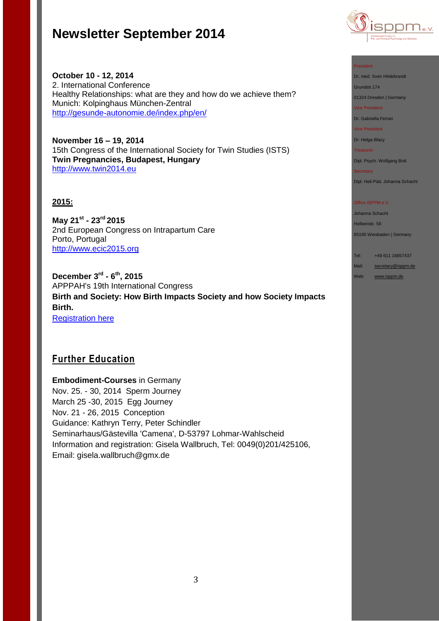

**October 10 - 12, 2014** 2. International Conference Healthy Relationships: what are they and how do we achieve them? Munich: Kolpinghaus München-Zentral <http://gesunde-autonomie.de/index.php/en/>

**November 16 – 19, 2014** 15th Congress of the International Society for Twin Studies (ISTS) **Twin Pregnancies, Budapest, Hungary** [http://www.twin2014.eu](http://www.twin2014.eu/)

## **2015:**

**May 21st - 23rd 2015** 2nd European Congress on Intrapartum Care Porto, Portugal [http://www.ecic2015.org](http://www.ecic2015.org/)

**December 3rd - 6 th, 2015** APPPAH's 19th International Congress **Birth and Society: How Birth Impacts Society and how Society Impacts Birth.** [Registration here](http://r20.rs6.net/tn.jsp?f=001ow1wkvozei_88VPX53sV2VFa_ZuxEIVEKa01uLsN1mbdQzyyQdhs_FXedW1fhcbR0cAnBWKAa58XC3PwfiugTa1u-MPUS6Vonsz2fJNfQoB35pjIsF_7lD1CN_qw8TKu7v5JAd5plpwt_sJH1Yde9EazKKjwqyMJ21kbRBK73s3eVNH4L1EyhKr9FAjjkUSl1fgyAKzNeZsbRxoBWUe7j8en6Y0oQ_VI&c=LWshyrIfwgT0SZxQf9pomHGUyyn_Wvxtp2RWpyiRrhc-6I_2N51Iww==&ch=fzqAY8gzqrfAbvVlvh6O_uf6Y0uhLqpZVtR_fAmpQsLRiSXUV-TJkQ==)

# **Further Education**

**Embodiment-Courses** in Germany Nov. 25. - 30, 2014 Sperm Journey March 25 -30, 2015 Egg Journey Nov. 21 - 26, 2015 Conception Guidance: Kathryn Terry, Peter Schindler Seminarhaus/Gästevilla 'Camena', D-53797 Lohmar-Wahlscheid Information and registration: Gisela Wallbruch, Tel: 0049(0)201/425106, Email: gisela.wallbruch@gmx.de

#### President

Dr. med. Sven Hildebrandt

Grundstr.174

01324 Dresden | Germany

Vice President

Dr. Gabriella Ferrari

Vice President

Dr. Helga Blazy

Treasurer

Dipl. Psych. Wolfgang Bott Secretary

Dipl. Heil-Päd. Johanna Schacht

#### Office ISPPM e.V.

Johanna Schacht

Holbeinstr. 56

65195 Wiesbaden | Germany

Tel: +49 611 16857437

Mail: [secretary@isppm.de](mailto:secretary@isppm.de)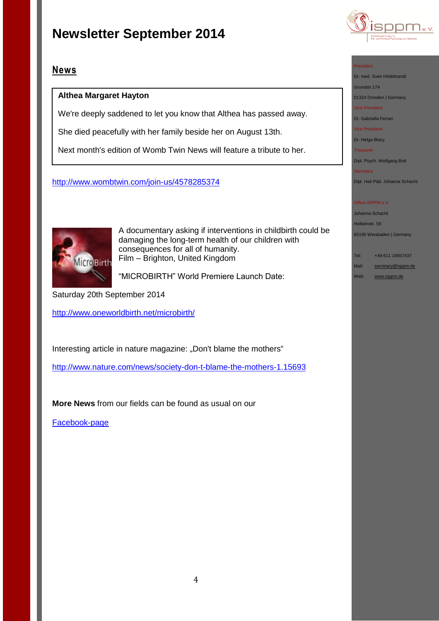

## **Althea Margaret Hayton**

We're deeply saddened to let you know that Althea has passed away.

She died peacefully with her family beside her on August 13th.

Next month's edition of Womb Twin News will feature a tribute to her.

## <http://www.wombtwin.com/join-us/4578285374>



A documentary asking if interventions in childbirth could be damaging the long-term health of our children with consequences for all of humanity. Film – Brighton, United Kingdom

"MICROBIRTH" World Premiere Launch Date:

Saturday 20th September 2014

<http://www.oneworldbirth.net/microbirth/>

Interesting article in nature magazine: "Don't blame the mothers"

<http://www.nature.com/news/society-don-t-blame-the-mothers-1.15693>

**More News** from our fields can be found as usual on our

[Facebook-page](http://de-de.facebook.com/pages/ISPPM-eV/124066644364106) 



### President

Dr. med. Sven Hildebrandt

Grundstr.174

01324 Dresden | Germany Vice President

Dr. Gabriella Ferrari

Vice President

Dr. Helga Blazy Treasurer

Dipl. Psych. Wolfgang Bott

Secretary

Dipl. Heil-Päd. Johanna Schacht

### Office ISPPM e.V.

Johanna Schacht

Holbeinstr. 56

65195 Wiesbaden | Germany

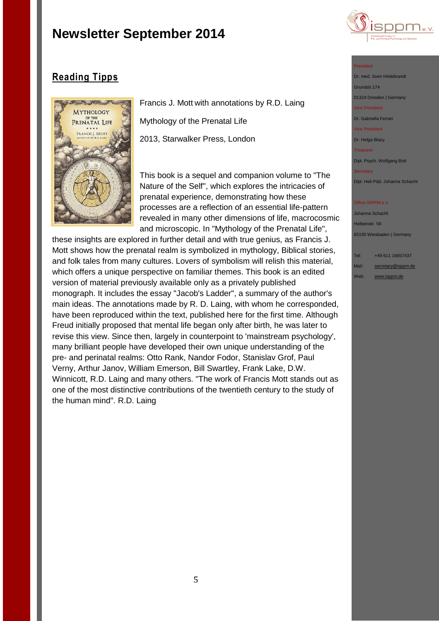

# **Reading Tipps**



Francis J. Mott with annotations by R.D. Laing Mythology of the Prenatal Life 2013, Starwalker Press, London

This book is a sequel and companion volume to "The Nature of the Self", which explores the intricacies of prenatal experience, demonstrating how these processes are a reflection of an essential life-pattern revealed in many other dimensions of life, macrocosmic and microscopic. In "Mythology of the Prenatal Life",

these insights are explored in further detail and with true genius, as Francis J. Mott shows how the prenatal realm is symbolized in mythology, Biblical stories, and folk tales from many cultures. Lovers of symbolism will relish this material, which offers a unique perspective on familiar themes. This book is an edited version of material previously available only as a privately published monograph. It includes the essay "Jacob's Ladder", a summary of the author's main ideas. The annotations made by R. D. Laing, with whom he corresponded, have been reproduced within the text, published here for the first time. Although Freud initially proposed that mental life began only after birth, he was later to revise this view. Since then, largely in counterpoint to 'mainstream psychology', many brilliant people have developed their own unique understanding of the pre- and perinatal realms: Otto Rank, Nandor Fodor, Stanislav Grof, Paul Verny, Arthur Janov, William Emerson, Bill Swartley, Frank Lake, D.W. Winnicott, R.D. Laing and many others. "The work of Francis Mott stands out as one of the most distinctive contributions of the twentieth century to the study of the human mind". R.D. Laing

#### President

Dr. med. Sven Hildebrandt Grundstr.174 01324 Dresden | Germany ice President

Dr. Gabriella Ferrari

Vice President

Dr. Helga Blazy **Treasurer** 

Dipl. Psych. Wolfgang Bott

Dipl. Heil-Päd. Johanna Schacht

#### Office ISPPM e.V.

Johanna Schacht Holbeinstr. 56 65195 Wiesbaden | Germany

Tel: +49 611 16857437 Mail: [secretary@isppm.de](mailto:secretary@isppm.de)